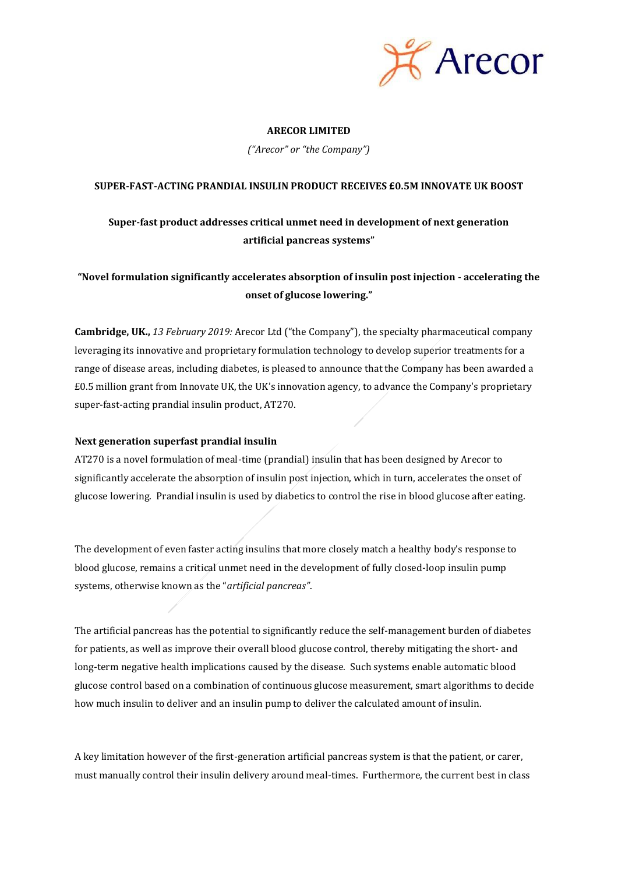

# **ARECOR LIMITED**

*("Arecor" or "the Company")*

# **SUPER-FAST-ACTING PRANDIAL INSULIN PRODUCT RECEIVES £0.5M INNOVATE UK BOOST**

# **Super-fast product addresses critical unmet need in development of next generation artificial pancreas systems"**

# **"Novel formulation significantly accelerates absorption of insulin post injection - accelerating the onset of glucose lowering."**

**Cambridge, UK.,** *13 February 2019:* Arecor Ltd ("the Company"), the specialty pharmaceutical company leveraging its innovative and proprietary formulation technology to develop superior treatments for a range of disease areas, including diabetes, is pleased to announce that the Company has been awarded a £0.5 million grant from Innovate UK, the UK's innovation agency, to advance the Company's proprietary super-fast-acting prandial insulin product, AT270.

# **Next generation superfast prandial insulin**

AT270 is a novel formulation of meal-time (prandial) insulin that has been designed by Arecor to significantly accelerate the absorption of insulin post injection, which in turn, accelerates the onset of glucose lowering. Prandial insulin is used by diabetics to control the rise in blood glucose after eating.

The development of even faster acting insulins that more closely match a healthy body's response to blood glucose, remains a critical unmet need in the development of fully closed-loop insulin pump systems, otherwise known as the "*artificial pancreas"*.

The artificial pancreas has the potential to significantly reduce the self-management burden of diabetes for patients, as well as improve their overall blood glucose control, thereby mitigating the short- and long-term negative health implications caused by the disease. Such systems enable automatic blood glucose control based on a combination of continuous glucose measurement, smart algorithms to decide how much insulin to deliver and an insulin pump to deliver the calculated amount of insulin.

A key limitation however of the first-generation artificial pancreas system is that the patient, or carer, must manually control their insulin delivery around meal-times. Furthermore, the current best in class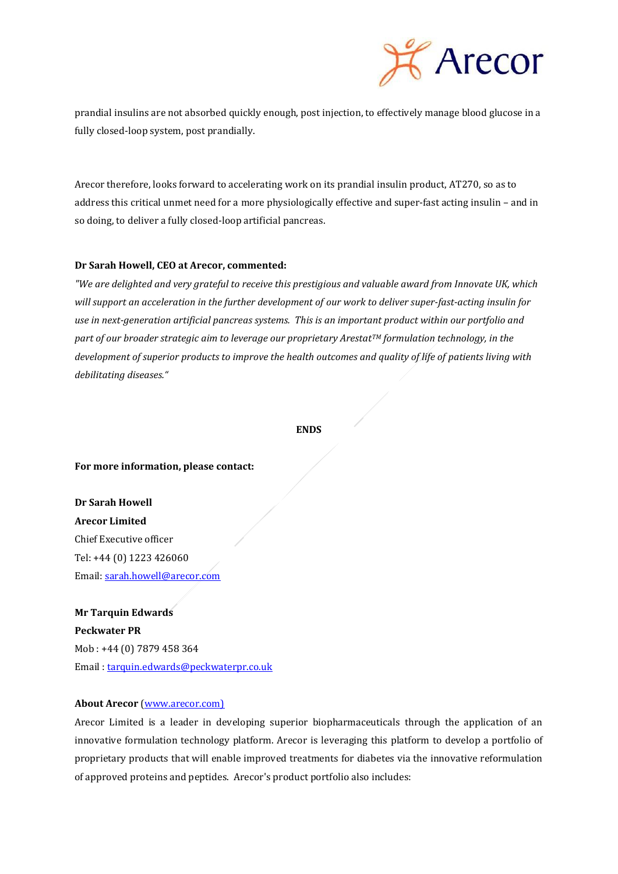

prandial insulins are not absorbed quickly enough, post injection, to effectively manage blood glucose in a fully closed-loop system, post prandially.

Arecor therefore, looks forward to accelerating work on its prandial insulin product, AT270, so as to address this critical unmet need for a more physiologically effective and super-fast acting insulin – and in so doing, to deliver a fully closed-loop artificial pancreas.

## **Dr Sarah Howell, CEO at Arecor, commented:**

*"We are delighted and very grateful to receive this prestigious and valuable award from Innovate UK, which will support an acceleration in the further development of our work to deliver super-fast-acting insulin for use in next-generation artificial pancreas systems. This is an important product within our portfolio and part of our broader strategic aim to leverage our proprietary ArestatTM formulation technology, in the development of superior products to improve the health outcomes and quality of life of patients living with debilitating diseases."*

#### **ENDS**

#### **For more information, please contact:**

**Dr Sarah Howell Arecor Limited** Chief Executive officer Tel: +44 (0) 1223 426060 Email[: sarah.howell@arecor.com](mailto:sarah.howell@arecor.com)

**Mr Tarquin Edwards Peckwater PR** Mob : +44 (0) 7879 458 364 Email [: tarquin.edwards@peckwaterpr.co.uk](mailto:tarquin.edwards@peckwaterpr.co.uk)

## **About Arecor** [\(www.arecor.com\)](http://www.arecor.com/)

Arecor Limited is a leader in developing superior biopharmaceuticals through the application of an innovative formulation technology platform. Arecor is leveraging this platform to develop a portfolio of proprietary products that will enable improved treatments for diabetes via the innovative reformulation of approved proteins and peptides. Arecor's product portfolio also includes: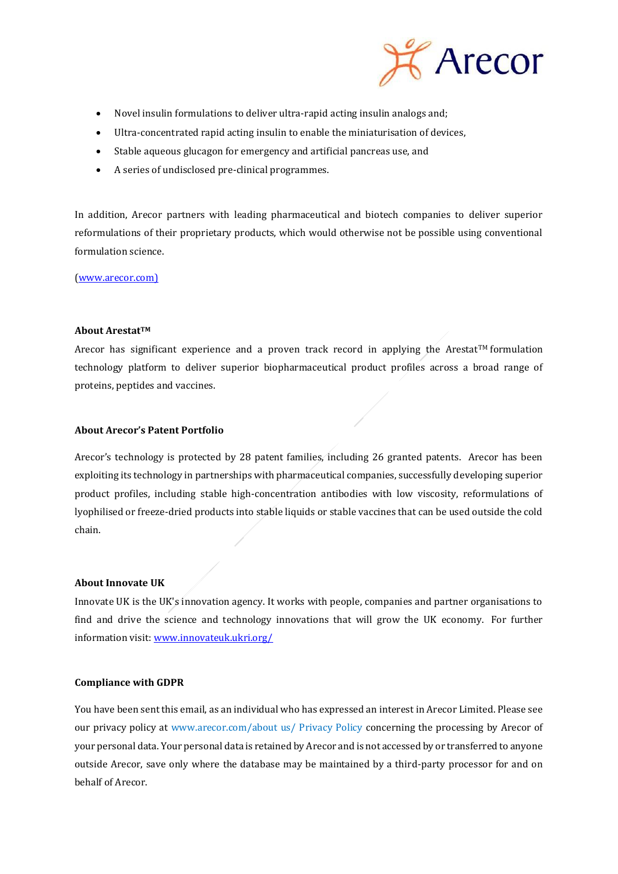

- Novel insulin formulations to deliver ultra-rapid acting insulin analogs and;
- Ultra-concentrated rapid acting insulin to enable the miniaturisation of devices,
- Stable aqueous glucagon for emergency and artificial pancreas use, and
- A series of undisclosed pre-clinical programmes.

In addition, Arecor partners with leading pharmaceutical and biotech companies to deliver superior reformulations of their proprietary products, which would otherwise not be possible using conventional formulation science.

[\(www.arecor.com\)](http://www.arecor.com/)

## **About ArestatTM**

Arecor has significant experience and a proven track record in applying the Arestat<sup>TM</sup> formulation technology platform to deliver superior biopharmaceutical product profiles across a broad range of proteins, peptides and vaccines.

# **About Arecor's Patent Portfolio**

Arecor's technology is protected by 28 patent families, including 26 granted patents. Arecor has been exploiting its technology in partnerships with pharmaceutical companies, successfully developing superior product profiles, including stable high-concentration antibodies with low viscosity, reformulations of lyophilised or freeze-dried products into stable liquids or stable vaccines that can be used outside the cold chain.

## **About Innovate UK**

Innovate UK is the UK's innovation agency. It works with people, companies and partner organisations to find and drive the science and technology innovations that will grow the UK economy. For further information visit[: www.innovateuk.ukri.org/](http://www.innovateuk.ukri.org/)

## **Compliance with GDPR**

You have been sent this email, as an individual who has expressed an interest in Arecor Limited. Please see our privacy policy at www.arecor.com/about us/ Privacy Policy concerning the processing by Arecor of your personal data. Your personal data is retained by Arecor and is not accessed by or transferred to anyone outside Arecor, save only where the database may be maintained by a third-party processor for and on behalf of Arecor.